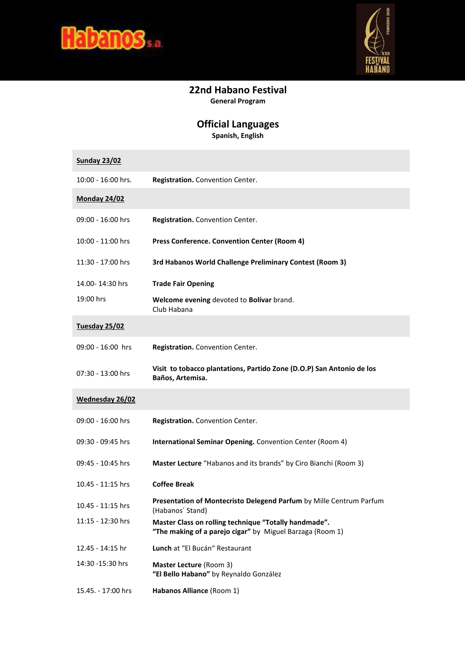



## **22nd Habano Festival General Program**

## **Official Languages**

**Spanish, English** 

| <b>Sunday 23/02</b> |                                                                                                                    |
|---------------------|--------------------------------------------------------------------------------------------------------------------|
| 10:00 - 16:00 hrs.  | Registration. Convention Center.                                                                                   |
| <b>Monday 24/02</b> |                                                                                                                    |
| 09:00 - 16:00 hrs   | Registration. Convention Center.                                                                                   |
| 10:00 - 11:00 hrs   | Press Conference. Convention Center (Room 4)                                                                       |
| 11:30 - 17:00 hrs   | 3rd Habanos World Challenge Preliminary Contest (Room 3)                                                           |
| 14.00-14:30 hrs     | <b>Trade Fair Opening</b>                                                                                          |
| 19:00 hrs           | Welcome evening devoted to Bolívar brand.<br>Club Habana                                                           |
| Tuesday 25/02       |                                                                                                                    |
| 09:00 - 16:00 hrs   | Registration. Convention Center.                                                                                   |
| 07:30 - 13:00 hrs   | Visit to tobacco plantations, Partido Zone (D.O.P) San Antonio de los<br>Baños, Artemisa.                          |
| Wednesday 26/02     |                                                                                                                    |
| 09:00 - 16:00 hrs   | Registration. Convention Center.                                                                                   |
| 09:30 - 09:45 hrs   | International Seminar Opening. Convention Center (Room 4)                                                          |
| 09:45 - 10:45 hrs   | Master Lecture "Habanos and its brands" by Ciro Bianchi (Room 3)                                                   |
| 10.45 - 11:15 hrs   | <b>Coffee Break</b>                                                                                                |
| 10.45 - 11:15 hrs   | Presentation of Montecristo Delegend Parfum by Mille Centrum Parfum<br>(Habanos' Stand)                            |
| 11:15 - 12:30 hrs   | Master Class on rolling technique "Totally handmade".<br>"The making of a parejo cigar" by Miguel Barzaga (Room 1) |
| 12.45 - 14:15 hr    | Lunch at "El Bucán" Restaurant                                                                                     |
| 14:30 -15:30 hrs    | <b>Master Lecture (Room 3)</b><br>"El Bello Habano" by Reynaldo González                                           |
| 15.45. - 17:00 hrs  | Habanos Alliance (Room 1)                                                                                          |